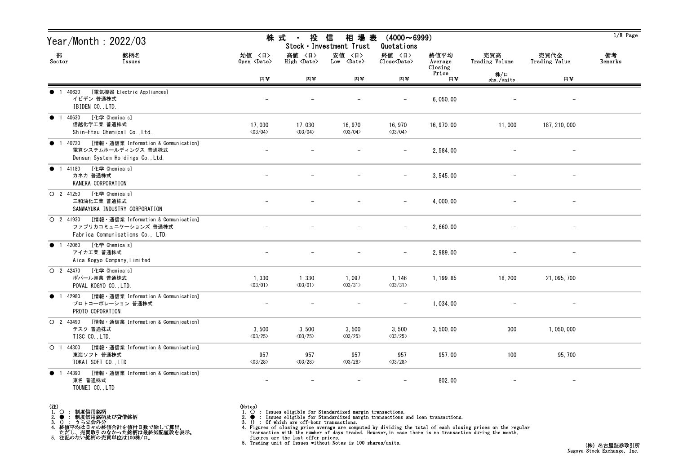| Year/Month : 2022/03                                                                                         |                                   | 株 式<br>$\sim 1000$ km s $^{-1}$   | 投 信<br>相 場 表<br>Stock · Investment Trust | $(4000 \sim 6999)$<br>Quotations   |                            |                       |                          | $1/8$ Page    |
|--------------------------------------------------------------------------------------------------------------|-----------------------------------|-----------------------------------|------------------------------------------|------------------------------------|----------------------------|-----------------------|--------------------------|---------------|
| 部<br>銘柄名<br>Sector<br>Issues                                                                                 | 始値 〈日〉<br>Open <date></date>      | 高値 〈日〉<br>High <date></date>      | 安値 〈日〉<br>Low <date></date>              | 終値 〈日〉<br>Close <date></date>      | 終値平均<br>Average<br>Closing | 売買高<br>Trading Volume | 売買代金<br>Trading Value    | 備考<br>Remarks |
|                                                                                                              | 円半                                | 円半                                | 円半                                       | 円半                                 | Price<br>円半                | 株/口<br>shs./units     | 円半                       |               |
| [電気機器 Electric Appliances]<br>● 1 40620<br>イビデン 普通株式<br>IBIDEN CO., LTD.                                     |                                   |                                   |                                          |                                    | 6, 050.00                  |                       |                          |               |
| ● 1 40630 [化学 Chemicals]<br>信越化学工業 普通株式<br>Shin-Etsu Chemical Co., Ltd.                                      | 17,030<br>$\langle 03/04 \rangle$ | 17,030<br>$\langle 03/04 \rangle$ | 16, 970<br>$\langle 03/04 \rangle$       | 16, 970<br>$\langle 03/04 \rangle$ | 16, 970, 00                | 11,000                | 187, 210, 000            |               |
| ● 1 40720 [情報 · 通信業 Information & Communication]<br>電算システムホールディングス 普通株式<br>Densan System Holdings Co., Ltd.  |                                   |                                   |                                          |                                    | 2,584.00                   |                       |                          |               |
| ● 1 41180 [化学 Chemicals]<br>カネカ 普通株式<br>KANEKA CORPORATION                                                   |                                   |                                   |                                          |                                    | 3, 545.00                  |                       |                          |               |
| O 2 41250 [化学 Chemicals]<br>三和油化工業 普通株式<br>SANWAYUKA INDUSTRY CORPORATION                                    |                                   |                                   |                                          |                                    | 4,000.00                   |                       |                          |               |
| ○ 2 41930 [情報 · 通信業 Information & Communication]<br>ファブリカコミュニケーションズ 普通株式<br>Fabrica Communications Co., LTD. |                                   |                                   |                                          |                                    | 2,660.00                   |                       |                          |               |
| ● 1 42060 [化学 Chemicals]<br>アイカエ業 普通株式<br>Aica Kogyo Company, Limited                                        |                                   |                                   |                                          |                                    | 2,989.00                   |                       |                          |               |
| O 2 42470 [化学 Chemicals]<br>ポバール興業 普通株式<br>POVAL KOGYO CO., LTD.                                             | 1,330<br>$\langle 03/01 \rangle$  | 1,330<br>$\langle 03/01 \rangle$  | 1,097<br>$\langle 03/31 \rangle$         | 1,146<br>$\langle 03/31 \rangle$   | 1, 199.85                  | 18, 200               | 21, 095, 700             |               |
| ● 1 42980 [情報 · 通信業 Information & Communication]<br>プロトコーポレーション 普通株式<br>PROTO COPORATION                     | $\overline{\phantom{a}}$          |                                   |                                          |                                    | 1,034.00                   |                       |                          |               |
| ○ 2 43490 [情報 · 通信業 Information & Communication]<br>テスク 普通株式<br>TISC CO., LTD.                               | 3,500<br>$\langle 03/25 \rangle$  | 3,500<br>$\langle 03/25 \rangle$  | 3,500<br>$\langle 03/25 \rangle$         | 3,500<br>$\langle 03/25 \rangle$   | 3,500.00                   | 300                   | 1,050,000                |               |
| ○ 1 44300 [情報 · 通信業 Information & Communication]<br>東海ソフト 普通株式<br>TOKAI SOFT CO., LTD                        | 957<br>$\langle 03/28 \rangle$    | 957<br>$\langle03/28\rangle$      | 957<br>$\langle 03/28 \rangle$           | 957<br>$\langle 03/28 \rangle$     | 957.00                     | 100                   | 95, 700                  |               |
| 44390 [情報・通信業 Information & Communication]<br>$\bullet$ 1<br>東名 普通株式<br>TOUMEI CO., LTD                      | $\overline{\phantom{a}}$          | $\overline{\phantom{m}}$          | $\overline{\phantom{m}}$                 | $\overline{\phantom{m}}$           | 802.00                     |                       | $\overline{\phantom{m}}$ |               |

- (注)<br>1. ○<br>2. ●<br>3. ① 1. ○ : 制度信用銘柄
- 
- 

2. ● : 制度信用銘柄及び貸借銘柄<br>3. () : うち立会外分<br>4. 終値平均は日々の終値合計を値付日数で除して算出。<br>ただし、売買取引のなかった銘柄は最終気配値段を表示。<br>5. 注記のない銘柄の売買単位は100株/口。

(Notes)<br>1. ○ : Issues eligible for Standardized margin transactions.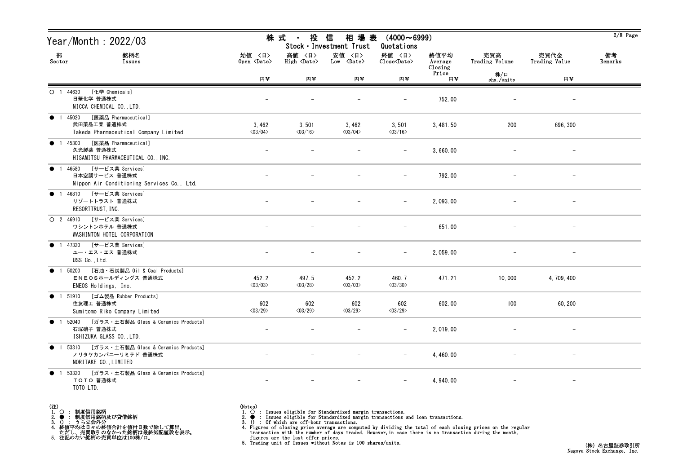| Year/Month : 2022/03                                                                             | 株 式                              | 投<br>$\sim 10^{-11}$                  | 信<br>相 場 表<br>Stock · Investment Trust | $(4000 \sim 6999)$<br>Quotations                             |                            |                       |                          | $2/8$ Page    |
|--------------------------------------------------------------------------------------------------|----------------------------------|---------------------------------------|----------------------------------------|--------------------------------------------------------------|----------------------------|-----------------------|--------------------------|---------------|
| 部<br>銘柄名<br>Sector<br>Issues                                                                     | 始値 〈日〉<br>Open <date></date>     | 高値 〈日〉<br>$High \langle Date \rangle$ | 安値 〈日〉<br>$Low \langle Date \rangle$   | 終値 〈日〉<br>$\widehat{\text{Close}}\langle \text{Date}\rangle$ | 終値平均<br>Average<br>Closing | 売買高<br>Trading Volume | 売買代金<br>Trading Value    | 備考<br>Remarks |
|                                                                                                  | 円半                               | 円半                                    | 円半                                     | 円半                                                           | Price<br>円半                | 株/口<br>shs./units     | 円半                       |               |
| [化学 Chemicals]<br>$O$ 1 44630<br>日華化学 普通株式<br>NICCA CHEMICAL CO., LTD.                           |                                  |                                       |                                        | $\overline{\phantom{0}}$                                     | 752.00                     |                       | $\qquad \qquad -$        |               |
| ● 1 45020 [医薬品 Pharmaceutical]<br>武田薬品工業 普通株式<br>Takeda Pharmaceutical Company Limited           | 3,462<br>$\langle 03/04 \rangle$ | 3,501<br>$\langle 03/16 \rangle$      | 3,462<br>$\langle 03/04 \rangle$       | 3,501<br>$\langle 03/16 \rangle$                             | 3, 481.50                  | 200                   | 696, 300                 |               |
| [医薬品 Pharmaceutical]<br>● 1 45300<br>久光製薬 普通株式<br>HISAMITSU PHARMACEUTICAL CO., INC.             |                                  |                                       |                                        |                                                              | 3,660.00                   |                       |                          |               |
| [サービス業 Services]<br>● 1 46580<br>日本空調サービス 普通株式<br>Nippon Air Conditioning Services Co., Ltd.     |                                  |                                       |                                        | $\overline{\phantom{0}}$                                     | 792.00                     |                       | $\qquad \qquad -$        |               |
| ● 1 46810 [サービス業 Services]<br>リゾートトラスト 普通株式<br>RESORTTRUST, INC.                                 |                                  |                                       |                                        | $\qquad \qquad -$                                            | 2, 093.00                  |                       | $\overline{\phantom{m}}$ |               |
| O 2 46910 [サービス業 Services]<br>ワシントンホテル 普通株式<br>WASHINTON HOTEL CORPORATION                       |                                  |                                       |                                        | $\overline{\phantom{0}}$                                     | 651.00                     |                       | $\overline{\phantom{a}}$ |               |
| ● 1 47320 [サービス業 Services]<br>ユー・エス・エス 普通株式<br>USS Co., Ltd.                                     |                                  |                                       |                                        |                                                              | 2, 059.00                  |                       |                          |               |
| [石油・石炭製品 Oil & Coal Products]<br>$\bullet$ 1 50200<br>ENEOSホールディングス 普通株式<br>ENEOS Holdings, Inc. | 452.2<br>$\langle 03/03 \rangle$ | 497.5<br>$\langle 03/28 \rangle$      | 452.2<br>$\langle 03/03 \rangle$       | 460.7<br>$\langle 03/30 \rangle$                             | 471.21                     | 10,000                | 4, 709, 400              |               |
| ● 1 51910 [ゴム製品 Rubber Products]<br>住友理工 普通株式<br>Sumitomo Riko Company Limited                   | 602<br>$\langle 03/29 \rangle$   | 602<br>$\langle 03/29 \rangle$        | 602<br>$\langle 03/29 \rangle$         | 602<br>$\langle 03/29 \rangle$                               | 602.00                     | 100                   | 60, 200                  |               |
| ● 1 52040 [ガラス・土石製品 Glass & Ceramics Products]<br>石塚硝子 普通株式<br>ISHIZUKA GLASS CO., LTD.          |                                  |                                       |                                        | $\qquad \qquad -$                                            | 2, 019.00                  |                       |                          |               |
| ● 1 53310 [ガラス・土石製品 Glass & Ceramics Products]<br>ノリタケカンパニーリミテド 普通株式<br>NORITAKE CO., LIMITED    |                                  |                                       |                                        |                                                              | 4, 460, 00                 |                       |                          |               |
| ● 1 53320 [ガラス・土石製品 Glass & Ceramics Products]<br>TOTO 普通株式<br>TOTO LTD.                         |                                  |                                       |                                        |                                                              | 4, 940, 00                 |                       | $-$                      |               |

- (注)<br>1. ○<br>2. ●<br>3. ① 1. ○ : 制度信用銘柄
- 

2. ● : 制度信用銘柄及び貸借銘柄<br>3. () : うち立会外分<br>4. 終値平均は日々の終値合計を値付日数で除して算出。<br>ただし、売買取引のなかった銘柄は最終気配値段を表示。<br>5. 注記のない銘柄の売買単位は100株/口。

- 
- (Notes)<br>1. : Issues eligible for Standardized margin transactions.
-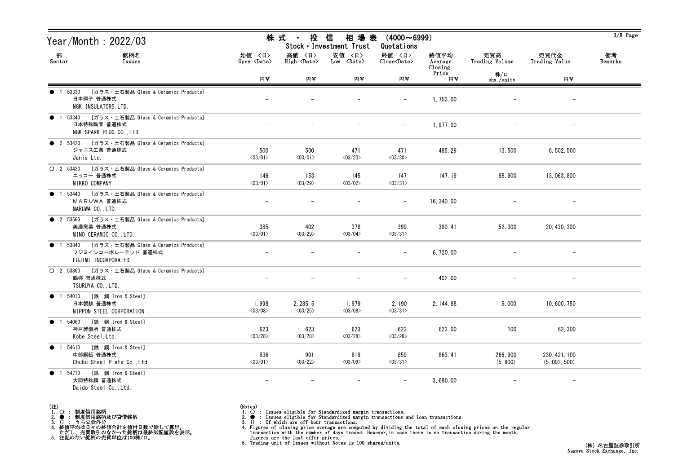| Year/Month : 2022/03                                                                                   |                                  | 株式<br>投<br>$\sim 10^{-11}$          | 信<br>相 場 表<br>Stock · Investment Trust | $(4000 \sim 6999)$<br>Quotations |                            |                       |                                | $3/8$ Page    |
|--------------------------------------------------------------------------------------------------------|----------------------------------|-------------------------------------|----------------------------------------|----------------------------------|----------------------------|-----------------------|--------------------------------|---------------|
| 部<br>銘柄名<br>Sector<br>Issues                                                                           | 始値 〈日〉<br>Open <date></date>     | 高値 〈日〉<br>High <date></date>        | 安値 〈日〉<br>Low <date></date>            | 終値 〈日〉<br>Close <date></date>    | 終値平均<br>Average<br>Closing | 売買高<br>Trading Volume | 売買代金<br>Trading Value          | 備考<br>Remarks |
|                                                                                                        | 円半                               | 円半                                  | 円半                                     | 円半                               | Price<br>円半                | 株/口<br>shs./units     | 円半                             |               |
| [ガラス・土石製品 Glass & Ceramics Products]<br>1 53330<br>日本碍子 普通株式<br>NGK INSULATORS, LTD.                   |                                  |                                     |                                        |                                  | 1, 753.00                  |                       |                                |               |
| 1 53340 [ガラス・土石製品 Glass & Ceramics Products]<br>$\bullet$<br>日本特殊陶業 普通株式<br>NGK SPARK PLUG CO., LTD.   |                                  |                                     |                                        | $-$                              | 1,977.00                   |                       |                                |               |
| ● 2 53420 [ガラス・土石製品 Glass & Ceramics Products]<br>ジャニス工業 普通株式<br>Janis Ltd.                            | 500<br>$\langle 03/01 \rangle$   | 500<br>$\langle 03/01 \rangle$      | 471<br>$\langle 03/23 \rangle$         | 471<br>$\langle 03/30 \rangle$   | 485.29                     | 13,500                | 6, 502, 500                    |               |
| ○ 2 53430 [ガラス・土石製品 Glass & Ceramics Products]<br>ニッコー 普通株式<br>NIKKO COMPANY                           | 146<br>$\langle 03/01 \rangle$   | 153<br>$\langle 03/29 \rangle$      | 145<br>$\langle 03/02 \rangle$         | 147<br>$\langle 03/31 \rangle$   | 147.19                     | 88, 900               | 13, 063, 800                   |               |
| [ガラス・土石製品 Glass & Ceramics Products]<br>53440<br>$\bullet$<br>MARUWA 普通株式<br>MARUWA CO., LTD.          |                                  |                                     |                                        |                                  | 16, 340.00                 |                       |                                |               |
| ● 2 53560 [ガラス・土石製品 Glass & Ceramics Products]<br>美濃窯業 普通株式<br>MINO CERAMIC CO., LTD.                  | 385<br>$\langle 03/01 \rangle$   | 402<br>$\langle 03/29 \rangle$      | 378<br>$\langle 03/04 \rangle$         | 399<br>$\langle 03/31 \rangle$   | 390.41                     | 52, 300               | 20, 430, 300                   |               |
| 1 53840 [ガラス・土石製品 Glass & Ceramics Products]<br>$\bullet$<br>フジミインコーポレーテッド 普通株式<br>FUJIMI INCORPORATED |                                  |                                     |                                        |                                  | 6,720.00                   |                       |                                |               |
| ○ 2 53860 [ガラス・土石製品 Glass & Ceramics Products]<br>鶴弥 普通株式<br>TSURUYA CO., LTD.                         |                                  |                                     |                                        | $-$                              | 402.00                     |                       |                                |               |
| ● 1 54010 [鉄 鋼 Iron & Steel]<br>日本製鉄 普通株式<br>NIPPON STEEL CORPORATION                                  | 1,998<br>$\langle 03/08 \rangle$ | 2, 285.5<br>$\langle 03/25 \rangle$ | 1,979<br>$\langle 03/08 \rangle$       | 2,190<br>$\langle 03/31 \rangle$ | 2, 144.88                  | 5,000                 | 10, 600, 750                   |               |
| ● 1 54060 [鉄 鋼 Iron & Steel]<br>神戸製鋼所 普通株式<br>Kobe Steel, Ltd.                                         | 623<br>$\langle 03/28 \rangle$   | 623<br>$\langle 03/28 \rangle$      | 623<br>$\langle 03/28 \rangle$         | 623<br>$\langle 03/28 \rangle$   | 623.00                     | 100                   | 62, 300                        |               |
| ● 1 54610 [鉄 鋼 Iron & Steel]<br>中部鋼鈑 普通株式<br>Chubu Steel Plate Co., Ltd.                               | 836<br>$\langle 03/01 \rangle$   | 901<br>$\langle 03/22 \rangle$      | 819<br>$\langle 03/09 \rangle$         | 859<br>$\langle 03/31 \rangle$   | 863.41                     | 266, 900<br>(5, 800)  | 230, 421, 100<br>(5, 092, 500) |               |
| ● 1 54710 [鉄 鋼 Iron & Steel]<br>大同特殊鋼 普通株式<br>Daido Steel Co., Ltd.                                    | $\overline{\phantom{m}}$         | $\overline{\phantom{m}}$            | $\qquad \qquad -$                      |                                  | 3,690.00                   |                       | $-$                            |               |

- (注)<br>1. ○<br>2. ●<br>3. ① 1. ○ : 制度信用銘柄
- 
- 2. : 制度信用銘柄及び貸借銘柄<br>3. () : うち立会外分<br>4. 終値平均は日々の終値合計を値付日数で除して算出。<br>ただし、売買取引のなかった銘柄は最終気配値段を表示。<br>5. 注記のない銘柄の売買単位は100株/口。

- (Notes)<br>1. : Issues eligible for Standardized margin transactions.
-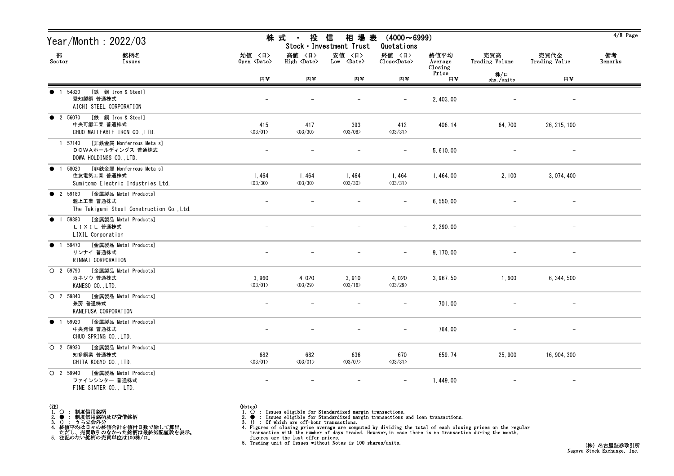| Year/Month : 2022/03                                                                              |                                  | 株 式<br>投<br>$\blacksquare$       | 信<br>相 場 表<br>Stock · Investment Trust | $(4000 \sim 6999)$<br>Quotations                   |                            |                          |                          | $4/8$ Page    |
|---------------------------------------------------------------------------------------------------|----------------------------------|----------------------------------|----------------------------------------|----------------------------------------------------|----------------------------|--------------------------|--------------------------|---------------|
| 部<br>銘柄名<br>Sector<br>Issues                                                                      | 始值 〈日〉<br>Open <date></date>     | 高値 〈日〉<br>High <date></date>     | 安値 〈日〉<br>$Low \ \langle Date \rangle$ | 終値 〈日〉<br>$\text{Close}\langle \text{Date}\rangle$ | 終値平均<br>Average<br>Closing | 売買高<br>Trading Volume    | 売買代金<br>Trading Value    | 備考<br>Remarks |
|                                                                                                   | 円半                               | 円¥                               | 円半                                     | 円半                                                 | Price<br>円半                | 株/口<br>shs./units        | 円半                       |               |
| [鉄 鋼 Iron & Steel]<br>1 54820<br>愛知製鋼 普通株式<br>AICHI STEEL CORPORATION                             |                                  |                                  |                                        |                                                    | 2, 403.00                  |                          | $\overline{\phantom{m}}$ |               |
| [鉄 鋼 Iron & Steel]<br><b>2</b> 56070<br>中央可鍛工業 普通株式<br>CHUO MALLEABLE IRON CO., LTD.              | 415<br>$\langle 03/01 \rangle$   | 417<br>$\langle 03/30 \rangle$   | 393<br>$\langle 03/08 \rangle$         | 412<br>$\langle 03/31 \rangle$                     | 406.14                     | 64,700                   | 26, 215, 100             |               |
| [非鉄金属 Nonferrous Metals]<br>1 57140<br>DOWAホールディングス 普通株式<br>DOWA HOLDINGS CO., LTD.               |                                  |                                  |                                        |                                                    | 5,610.00                   |                          |                          |               |
| [非鉄金属 Nonferrous Metals]<br>• 1 58020<br>住友電気工業 普通株式<br>Sumitomo Electric Industries, Ltd.        | 1,464<br>$\langle 03/30 \rangle$ | 1,464<br>$\langle 03/30 \rangle$ | 1,464<br>$\langle 03/30 \rangle$       | 1,464<br>$\langle 03/31 \rangle$                   | 1, 464.00                  | 2,100                    | 3, 074, 400              |               |
| [金属製品 Metal Products]<br><b>2</b> 59180<br>瀧上工業 普通株式<br>The Takigami Steel Construction Co., Ltd. |                                  |                                  |                                        |                                                    | 6,550.00                   |                          |                          |               |
| [金属製品 Metal Products]<br>59380<br>$\bullet$<br>$\overline{1}$<br>LIXIL 普通株式<br>LIXIL Corporation  |                                  |                                  |                                        | $\overline{\phantom{m}}$                           | 2, 290.00                  |                          | $\overline{\phantom{m}}$ |               |
| [金属製品 Metal Products]<br>1 59470<br>$\bullet$<br>リンナイ 普通株式<br>RINNAI CORPORATION                  |                                  |                                  |                                        |                                                    | 9, 170.00                  |                          |                          |               |
| [金属製品 Metal Products]<br>O 2 59790<br>カネソウ 普通株式<br>KANESO CO., LTD.                               | 3,960<br>$\langle 03/01 \rangle$ | 4,020<br>$\langle 03/29 \rangle$ | 3,910<br>$\langle 03/16 \rangle$       | 4,020<br>$\langle 03/29 \rangle$                   | 3, 967.50                  | 1,600                    | 6, 344, 500              |               |
| [金属製品 Metal Products]<br>O 2 59840<br>兼房 普通株式<br>KANEFUSA CORPORATION                             |                                  |                                  |                                        |                                                    | 701.00                     |                          |                          |               |
| ● 1 59920 [金属製品 Metal Products]<br>中央発條 普通株式<br>CHUO SPRING CO., LTD.                             |                                  |                                  |                                        | $\overline{\phantom{m}}$                           | 764.00                     |                          |                          |               |
| O 2 59930 [金属製品 Metal Products]<br>知多鋼業 普通株式<br>CHITA KOGYO CO., LTD.                             | 682<br>$\langle 03/01 \rangle$   | 682<br>$\langle 03/01 \rangle$   | 636<br>$\langle 03/07 \rangle$         | 670<br>$\langle 03/31 \rangle$                     | 659.74                     | 25,900                   | 16, 904, 300             |               |
| O 2 59940 [金属製品 Metal Products]<br>ファインシンター 普通株式<br>FINE SINTER CO., LTD.                         | $\overline{\phantom{m}}$         | $\overline{\phantom{m}}$         | $\overline{\phantom{m}}$               | $\overline{\phantom{m}}$                           | 1,449.00                   | $\overline{\phantom{m}}$ | $\qquad \qquad -$        |               |

- (注)<br>1. ○<br>2. ●<br>3. ① 1. ○ : 制度信用銘柄
- 
- 2. : 制度信用銘柄及び貸借銘柄<br>3. () : うち立会外分<br>4. 終値平均は日々の終値合計を値付日数で除して算出。<br>ただし、売買取引のなかった銘柄は最終気配値段を表示。<br>5. 注記のない銘柄の売買単位は100株/口。

(Notes)<br>1. ○ : Issues eligible for Standardized margin transactions.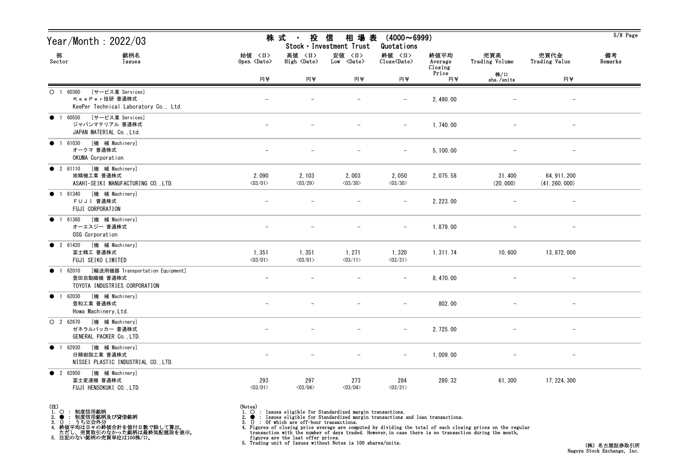| Year/Month: 2022/03                                                                           |                                  | 株 式<br>投<br>$\mathbf{H}^{\mathrm{max}}$ | 信<br>相 場 表<br>Stock · Investment Trust | $(4000 \sim 6999)$<br>Quotations                   |                            |                          |                                | $5/8$ Page    |
|-----------------------------------------------------------------------------------------------|----------------------------------|-----------------------------------------|----------------------------------------|----------------------------------------------------|----------------------------|--------------------------|--------------------------------|---------------|
| 部<br>銘柄名<br>Sector<br>Issues                                                                  | 始値 〈日〉<br>Open <date></date>     | 高値 〈日〉<br>High <date></date>            | 安値 〈日〉<br>Low <date></date>            | 終値 〈日〉<br>$\text{Close}\langle \text{Date}\rangle$ | 終値平均<br>Average<br>Closing | 売買高<br>Trading Volume    | 売買代金<br>Trading Value          | 備考<br>Remarks |
|                                                                                               | 円半                               | 円半                                      | 円半                                     | 円半                                                 | Price<br>円半                | 株/口<br>shs./units        | 円半                             |               |
| $O$ 1 60360<br>[サービス業 Services]<br>KeePer技研普通株式<br>KeePer Technical Laboratory Co., Ltd.      |                                  |                                         |                                        |                                                    | 2, 490.00                  |                          | $\overline{\phantom{0}}$       |               |
| [サービス業 Services]<br>● 1 60550<br>ジャパンマテリアル 普通株式<br>JAPAN MATERIAL Co., Ltd.                   |                                  |                                         |                                        | $-$                                                | 1,740.00                   | $\overline{\phantom{m}}$ | $\overline{\phantom{a}}$       |               |
| [機 械 Machinery]<br>1 61030<br>$\bullet$<br>オークマ 普通株式<br>OKUMA Corporation                     |                                  |                                         |                                        |                                                    | 5, 100.00                  |                          |                                |               |
| [機 械 Machinery]<br>• 2 61110<br>旭精機工業 普通株式<br>ASAHI-SEIKI MANUFACTURING CO., LTD.             | 2,090<br>$\langle 03/01 \rangle$ | 2, 103<br>$\langle 03/29 \rangle$       | 2,003<br>$\langle 03/30 \rangle$       | 2,050<br>$\langle 03/30 \rangle$                   | 2, 075.58                  | 31, 400<br>(20, 000)     | 64, 911, 200<br>(41, 260, 000) |               |
| [機 械 Machinery]<br>• 1 61340<br>FUJI 普通株式<br>FUJI CORPORATION                                 |                                  |                                         |                                        |                                                    | 2, 223.00                  |                          |                                |               |
| [機 械 Machinery]<br>1 61360<br>$\bullet$<br>オーエスジー 普通株式<br>OSG Corporation                     |                                  |                                         |                                        |                                                    | 1,879.00                   |                          | $\overline{\phantom{m}}$       |               |
| [機 械 Machinery]<br><b>2</b> 61420<br>富士精工 普通株式<br>FUJI SEIKO LIMITED                          | 1,351<br>$\langle 03/01 \rangle$ | 1,351<br>$\langle 03/01 \rangle$        | 1, 271<br>$\langle 03/11 \rangle$      | 1,320<br>$\langle 03/31 \rangle$                   | 1, 311.74                  | 10,600                   | 13, 872, 000                   |               |
| [輸送用機器 Transportation Equipment]<br>● 1 62010<br>豊田自動織機 普通株式<br>TOYOTA INDUSTRIES CORPORATION |                                  |                                         |                                        | $-$                                                | 8, 470.00                  |                          | $\qquad \qquad -$              |               |
| [機 械 Machinery]<br>• 1 62030<br>豊和工業 普通株式<br>Howa Machinery, Ltd.                             |                                  |                                         |                                        |                                                    | 802.00                     | $\overline{\phantom{m}}$ | $\overline{\phantom{0}}$       |               |
| O 2 62670 [機 械 Machinery]<br>ゼネラルパッカー 普通株式<br>GENERAL PACKER Co., LTD.                        |                                  |                                         | $\overline{\phantom{m}}$               | $-$                                                | 2, 725.00                  |                          |                                |               |
| [機 械 Machinery]<br>● 1 62930<br>日精樹脂工業 普通株式<br>NISSEI PLASTIC INDUSTRIAL CO., LTD.            |                                  |                                         |                                        | $-$                                                | 1,009.00                   |                          |                                |               |
| [機 械 Machinery]<br><b>2</b> 62950<br>富士変速機 普通株式<br>FUJI HENSOKUKI CO., LTD.                   | 293<br>$\langle 03/01 \rangle$   | 297<br>$\langle 03/04 \rangle$          | 273<br>$\langle 03/04 \rangle$         | 284<br>$\langle 03/31 \rangle$                     | 280.32                     | 61,300                   | 17, 224, 300                   |               |

- (注)<br>1. ○<br>2. ●<br>3. ① 1. ○ : 制度信用銘柄
- 
- 
- 2. : 制度信用銘柄及び貸借銘柄<br>3. () : うち立会外分<br>4. 終値平均は日々の終値合計を値付日数で除して算出。<br>ただし、売買取引のなかった銘柄は最終気配値段を表示。<br>5. 注記のない銘柄の売買単位は100株/口。
- 
- 
- (Notes)<br>1. : Issues eligible for Standardized margin transactions.
-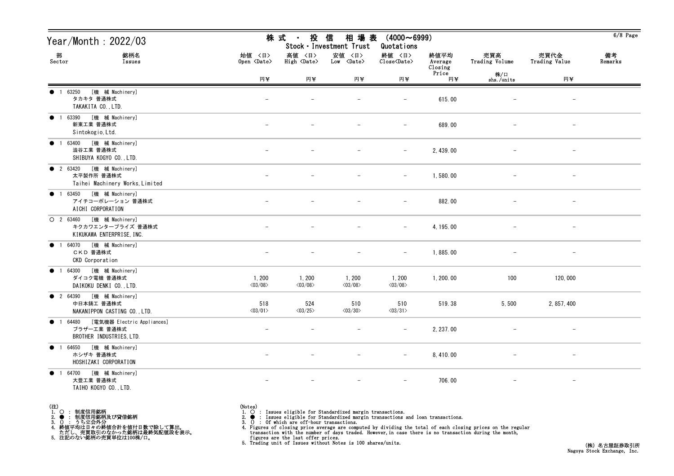| Year/Month : 2022/03                                                            |                                  | 株 式<br>$\sim 10^{-11}$            | 投 信<br>相 場 表<br>Stock · Investment Trust | $(4000 \sim 6999)$<br>Quotations                             |                            |                          |                          | $6/8$ Page    |
|---------------------------------------------------------------------------------|----------------------------------|-----------------------------------|------------------------------------------|--------------------------------------------------------------|----------------------------|--------------------------|--------------------------|---------------|
| 部<br>銘柄名<br>Sector<br>Issues                                                    | 始値 〈日〉<br>Open <date></date>     | 高値 〈日〉<br>High <date></date>      | 安値 〈日〉<br>$Low \langle Date \rangle$     | 終値 〈日〉<br>$\widehat{\text{Close}}\langle \text{Date}\rangle$ | 終値平均<br>Average<br>Closing | 売買高<br>Trading Volume    | 売買代金<br>Trading Value    | 備考<br>Remarks |
|                                                                                 | 円半                               | 円半                                | 円半                                       | 円半                                                           | Price<br>円半                | 株/口<br>shs./units        | 円半                       |               |
| [機 械 Machinery]<br>● 1 63250<br>タカキタ 普通株式<br>TAKAKITA CO., LTD.                 |                                  |                                   |                                          | $\overline{\phantom{m}}$                                     | 615.00                     |                          | $\overline{\phantom{a}}$ |               |
| ● 1 63390 [機 械 Machinery]<br>新東工業 普通株式<br>Sintokogio, Ltd.                      |                                  |                                   |                                          | $-$                                                          | 689.00                     | $\overline{\phantom{m}}$ | $-$                      |               |
| [機 械 Machinery]<br>1 63400<br>$\bullet$<br>澁谷工業 普通株式<br>SHIBUYA KOGYO CO., LTD. |                                  |                                   |                                          | $\overline{\phantom{m}}$                                     | 2, 439.00                  |                          | $\overline{\phantom{m}}$ |               |
| ● 2 63420 [機 械 Machinery]<br>太平製作所 普通株式<br>Taihei Machinery Works, Limited      |                                  |                                   |                                          | $-$                                                          | 1,580.00                   |                          | $\overline{\phantom{a}}$ |               |
| ● 1 63450 [機 械 Machinery]<br>アイチコーポレーション 普通株式<br>AICHI CORPORATION              |                                  |                                   |                                          | $\qquad \qquad -$                                            | 882.00                     |                          | $\qquad \qquad -$        |               |
| ○ 2 63460 [機 械 Machinery]<br>キクカワエンタープライズ 普通株式<br>KIKUKAWA ENTERPRISE, INC.     |                                  |                                   |                                          | $-$                                                          | 4, 195.00                  |                          | $\qquad \qquad -$        |               |
| ● 1 64070 [機 械 Machinery]<br>CKD 普通株式<br>CKD Corporation                        |                                  |                                   |                                          | $\overline{\phantom{m}}$                                     | 1,885.00                   |                          |                          |               |
| ● 1 64300 [機 械 Machinery]<br>ダイコク電機 普通株式<br>DAIKOKU DENKI CO., LTD.             | 1,200<br>$\langle 03/08 \rangle$ | 1, 200<br>$\langle 03/08 \rangle$ | 1, 200<br>$\langle 03/08 \rangle$        | 1,200<br>$\langle 03/08 \rangle$                             | 1, 200.00                  | 100                      | 120,000                  |               |
| ● 2 64390 [機 械 Machinery]<br>中日本鋳工 普通株式<br>NAKANIPPON CASTING CO., LTD.         | 518<br>$\langle 03/01 \rangle$   | 524<br>$\langle 03/25 \rangle$    | 510<br>$\langle 03/30 \rangle$           | 510<br>$\langle 03/31 \rangle$                               | 519.38                     | 5,500                    | 2, 857, 400              |               |
| ● 1 64480 [電気機器 Electric Appliances]<br>ブラザーエ業 普通株式<br>BROTHER INDUSTRIES, LTD. |                                  |                                   |                                          | $ \,$                                                        | 2, 237.00                  |                          | $-$                      |               |
| ● 1 64650 [機 械 Machinery]<br>ホシザキ 普通株式<br>HOSHIZAKI CORPORATION                 |                                  |                                   |                                          | $-$                                                          | 8, 410.00                  |                          | $\overline{\phantom{a}}$ |               |
| ● 1 64700 [機 械 Machinery]<br>大豊工業 普通株式<br>TAIHO KOGYO CO., LTD.                 |                                  |                                   |                                          | $-$                                                          | 706.00                     | $\overline{\phantom{m}}$ | $-$                      |               |

(注)<br>1. ○<br>2. ●<br>3. ① 1. ○ : 制度信用銘柄

2. ● : 制度信用銘柄及び貸借銘柄<br>3. () : うち立会外分<br>4. 終値平均は日々の終値合計を値付日数で除して算出。<br>ただし、売買取引のなかった銘柄は最終気配値段を表示。<br>5. 注記のない銘柄の売買単位は100株/口。

(Notes)<br>1. ○ : Issues eligible for Standardized margin transactions.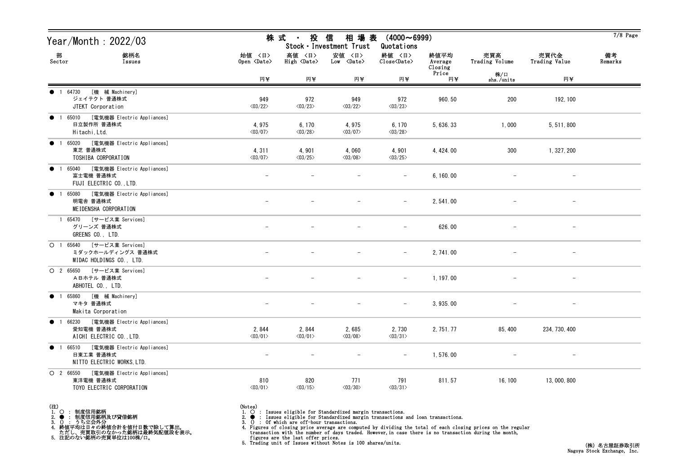| Year/Month : 2022/03                                                                       |                                   | 株 式<br>$\mathcal{L}=\mathcal{L}$ .    | 投信<br>相 場 表<br>Stock · Investment Trust | $(4000 \sim 6999)$<br>Quotations                             |                            |                       |                          | $7/8$ Page    |
|--------------------------------------------------------------------------------------------|-----------------------------------|---------------------------------------|-----------------------------------------|--------------------------------------------------------------|----------------------------|-----------------------|--------------------------|---------------|
| 部<br>銘柄名<br>Sector<br>Issues                                                               | 始値 〈日〉<br>Open <date></date>      | 高値 〈日〉<br>$High \langle Date \rangle$ | 安値 〈日〉<br>$Low \langle Date \rangle$    | 終値 〈日〉<br>$\widehat{\text{Close}}\langle \text{Date}\rangle$ | 終値平均<br>Average<br>Closing | 売買高<br>Trading Volume | 売買代金<br>Trading Value    | 備考<br>Remarks |
|                                                                                            | 円¥                                | 円半                                    | 円半                                      | 円半                                                           | Price<br>円半                | 株/口<br>shs./units     | 円半                       |               |
| [機 械 Machinery]<br>1 64730<br>$\bullet$<br>ジェイテクト 普通株式<br>JTEKT Corporation                | 949<br>$\langle 03/22 \rangle$    | 972<br>$\langle 03/23 \rangle$        | 949<br>$\langle 03/22 \rangle$          | 972<br>$\langle 03/23 \rangle$                               | 960.50                     | 200                   | 192, 100                 |               |
| ● 1 65010 [電気機器 Electric Appliances]<br>日立製作所 普通株式<br>Hitachi, Ltd.                        | 4,975<br>$\langle 03/07 \rangle$  | 6, 170<br>$\langle 03/28 \rangle$     | 4,975<br>$\langle 03/07 \rangle$        | 6, 170<br>$\langle 03/28 \rangle$                            | 5, 636. 33                 | 1,000                 | 5, 511, 800              |               |
| [電気機器 Electric Appliances]<br>1 65020<br>$\bullet$<br>東芝 普通株式<br>TOSHIBA CORPORATION       | 4, 311<br>$\langle 03/07 \rangle$ | 4,901<br>$\langle 03/25 \rangle$      | 4,060<br>$\langle 03/08 \rangle$        | 4,901<br>$\langle 03/25 \rangle$                             | 4, 424.00                  | 300                   | 1, 327, 200              |               |
| ● 1 65040 [電気機器 Electric Appliances]<br>富士電機 普通株式<br>FUJI ELECTRIC CO., LTD.               |                                   |                                       |                                         | $\overline{\phantom{m}}$                                     | 6, 160.00                  |                       | $\overline{\phantom{m}}$ |               |
| 1 65080 [電気機器 Electric Appliances]<br>$\bullet$<br>明電舎 普通株式<br>MEIDENSHA CORPORATION       |                                   |                                       |                                         | $\overline{\phantom{m}}$                                     | 2, 541.00                  |                       | -                        |               |
| 1 65470 [サービス業 Services]<br>グリーンズ 普通株式<br>GREENS CO., LTD.                                 |                                   |                                       |                                         | $-$                                                          | 626.00                     |                       | $\qquad \qquad -$        |               |
| O 1 65640 [サービス業 Services]<br>ミダックホールディングス 普通株式<br>MIDAC HOLDINGS CO., LTD.                |                                   |                                       |                                         |                                                              | 2, 741.00                  |                       |                          |               |
| O 2 65650 [サービス業 Services]<br>ABホテル普通株式<br>ABHOTEL CO., LTD.                               |                                   |                                       |                                         | $-$                                                          | 1, 197.00                  |                       | $\qquad \qquad -$        |               |
| ● 1 65860 [機 械 Machinery]<br>マキタ 普通株式<br>Makita Corporation                                |                                   |                                       |                                         |                                                              | 3, 935.00                  |                       | $\overline{\phantom{m}}$ |               |
| ● 1 66230 [電気機器 Electric Appliances]<br>愛知電機 普通株式<br>AICHI ELECTRIC CO., LTD.              | 2,844<br>$\langle 03/01 \rangle$  | 2,844<br>$\langle 03/01 \rangle$      | 2,685<br>$<$ 03/08 $>$                  | 2,730<br>$\langle 03/31 \rangle$                             | 2, 751. 77                 | 85, 400               | 234, 730, 400            |               |
| [電気機器 Electric Appliances]<br>$\bullet$ 1 66510<br>日東工業 普通株式<br>NITTO ELECTRIC WORKS, LTD. |                                   |                                       |                                         | $\overline{\phantom{m}}$                                     | 1,576.00                   |                       |                          |               |
| O 2 66550 [電気機器 Electric Appliances]<br>東洋電機 普通株式<br>TOYO ELECTRIC CORPORATION             | 810<br>$\langle 03/01 \rangle$    | 820<br>$\langle 03/15 \rangle$        | 771<br>$\langle03/30\rangle$            | 791<br>$\langle 03/31 \rangle$                               | 811.57                     | 16, 100               | 13,000,800               |               |

- (注)<br>1. ○<br>2. ●<br>3. ① 1. ○ : 制度信用銘柄
- 
- 

2. ● : 制度信用銘柄及び貸借銘柄<br>3. () : うち立会外分<br>4. 終値平均は日々の終値合計を値付日数で除して算出。<br>ただし、売買取引のなかった銘柄は最終気配値段を表示。<br>5. 注記のない銘柄の売買単位は100株/口。

(Notes)<br>1. ○ : Issues eligible for Standardized margin transactions.